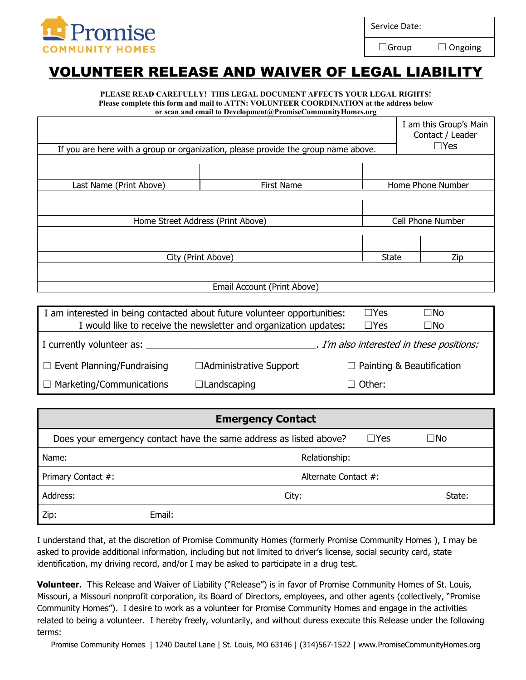

Service Date:

□Group □ Ongoing

## VOLUNTEER RELEASE AND WAIVER OF LEGAL LIABILITY

## **PLEASE READ CAREFULLY! THIS LEGAL DOCUMENT AFFECTS YOUR LEGAL RIGHTS! Please complete this form and mail to ATTN: VOLUNTEER COORDINATION at the address below**

**or scan and email to Development@PromiseCommunityHomes.org**

|                         | If you are here with a group or organization, please provide the group name above. |              | I am this Group's Main<br>Contact / Leader<br>$\Box$ Yes |
|-------------------------|------------------------------------------------------------------------------------|--------------|----------------------------------------------------------|
|                         |                                                                                    |              |                                                          |
| Last Name (Print Above) | <b>First Name</b>                                                                  |              | Home Phone Number                                        |
|                         | Home Street Address (Print Above)                                                  |              | Cell Phone Number                                        |
|                         |                                                                                    |              |                                                          |
| City (Print Above)      |                                                                                    | <b>State</b> | Zip                                                      |
|                         |                                                                                    |              |                                                          |
|                         | Email Account (Print Above)                                                        |              |                                                          |

| I am interested in being contacted about future volunteer opportunities:<br>I would like to receive the newsletter and organization updates: |                          | $\sqcap$ Yes<br>$\Box$ Yes       | ⊐No<br>⊐No                                |
|----------------------------------------------------------------------------------------------------------------------------------------------|--------------------------|----------------------------------|-------------------------------------------|
| I currently volunteer as:                                                                                                                    |                          |                                  | . I'm also interested in these positions: |
| $\Box$ Event Planning/Fundraising                                                                                                            | □ Administrative Support | $\Box$ Painting & Beautification |                                           |
| $\Box$ Marketing/Communications                                                                                                              | $\Box$ Landscaping       | $\Box$ Other:                    |                                           |

| <b>Emergency Contact</b> |                                                                    |            |           |  |
|--------------------------|--------------------------------------------------------------------|------------|-----------|--|
|                          | Does your emergency contact have the same address as listed above? | $\Box$ Yes | $\Box$ No |  |
| Name:                    | Relationship:                                                      |            |           |  |
| Primary Contact #:       | Alternate Contact #:                                               |            |           |  |
| Address:                 | City:                                                              |            | State:    |  |
| Zip:                     | Email:                                                             |            |           |  |

I understand that, at the discretion of Promise Community Homes (formerly Promise Community Homes ), I may be asked to provide additional information, including but not limited to driver's license, social security card, state identification, my driving record, and/or I may be asked to participate in a drug test.

**Volunteer.** This Release and Waiver of Liability ("Release") is in favor of Promise Community Homes of St. Louis, Missouri, a Missouri nonprofit corporation, its Board of Directors, employees, and other agents (collectively, "Promise Community Homes"). I desire to work as a volunteer for Promise Community Homes and engage in the activities related to being a volunteer. I hereby freely, voluntarily, and without duress execute this Release under the following terms:

Promise Community Homes | 1240 Dautel Lane | St. Louis, MO 63146 | (314)567-1522 | www.PromiseCommunityHomes.org